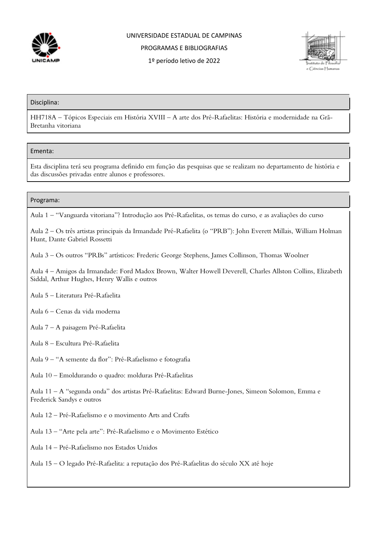

## UNIVERSIDADE ESTADUAL DE CAMPINAS PROGRAMAS E BIBLIOGRAFIAS



1º período letivo de 2022

#### Disciplina:

HH718A – Tópicos Especiais em História XVIII – A arte dos Pré-Rafaelitas: História e modernidade na Grã-Bretanha vitoriana

### Ementa:

Esta disciplina terá seu programa definido em função das pesquisas que se realizam no departamento de história e das discussões privadas entre alunos e professores.

### Programa:

Aula 1 – "Vanguarda vitoriana"? Introdução aos Pré-Rafaelitas, os temas do curso, e as avaliações do curso

Aula 2 – Os três artistas principais da Irmandade Pré-Rafaelita (o "PRB"): John Everett Millais, William Holman Hunt, Dante Gabriel Rossetti

Aula 3 – Os outros "PRBs" artísticos: Frederic George Stephens, James Collinson, Thomas Woolner

Aula 4 – Amigos da Irmandade: Ford Madox Brown, Walter Howell Deverell, Charles Allston Collins, Elizabeth Siddal, Arthur Hughes, Henry Wallis e outros

- Aula 5 Literatura Pré-Rafaelita
- Aula 6 Cenas da vida moderna
- Aula 7 A paisagem Pré-Rafaelita
- Aula 8 Escultura Pré-Rafaelita
- Aula 9 "A semente da flor": Pré-Rafaelismo e fotografia
- Aula 10 Emoldurando o quadro: molduras Pré-Rafaelitas

Aula 11 – A "segunda onda" dos artistas Pré-Rafaelitas: Edward Burne-Jones, Simeon Solomon, Emma e Frederick Sandys e outros

- Aula 12 Pré-Rafaelismo e o movimento Arts and Crafts
- Aula 13 "Arte pela arte": Pré-Rafaelismo e o Movimento Estético
- Aula 14 Pré-Rafaelismo nos Estados Unidos
- Aula 15 O legado Pré-Rafaelita: a reputação dos Pré-Rafaelitas do século XX até hoje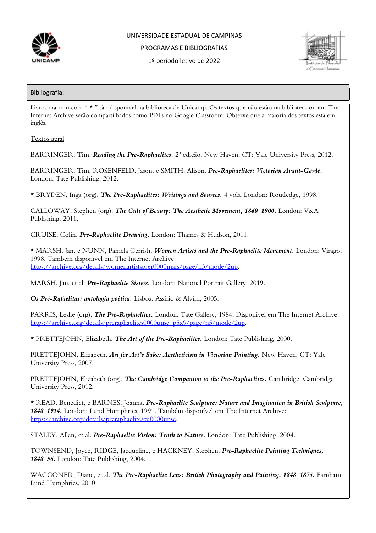

## UNIVERSIDADE ESTADUAL DE CAMPINAS

PROGRAMAS E BIBLIOGRAFIAS

1º período letivo de 2022



### Bibliografia:

Livros marcam com " \* " são disponível na biblioteca de Unicamp. Os textos que não estão na biblioteca ou em The Internet Archive serão compartilhados como PDFs no Google Classroom. Observe que a maioria dos textos está em inglês.

Textos geral

BARRINGER, Tim. *Reading the Pre-Raphaelites.* 2<sup>o</sup> edição. New Haven, CT: Yale University Press, 2012.

BARRINGER, Tim, ROSENFELD, Jason, e SMITH, Alison. *Pre-Raphaelites: Victorian Avant-Garde.* London: Tate Publishing, 2012.

\* BRYDEN, Inga (org). *The Pre-Raphaelites: Writings and Sources.* 4 vols. London: Routledge, 1998.

CALLOWAY, Stephen (org). *The Cult of Beauty: The Aesthetic Movement, 1860–1900.* London: V&A Publishing, 2011.

CRUISE, Colin. *Pre-Raphaelite Drawing.* London: Thames & Hudson, 2011.

\* MARSH, Jan, e NUNN, Pamela Gerrish. *Women Artists and the Pre-Raphaelite Movement.* London: Virago, 1998. Também disponível em The Internet Archive: https://archive.org/details/womenartistsprer0000mars/page/n3/mode/2up.

MARSH, Jan, et al. *Pre-Raphaelite Sisters.* London: National Portrait Gallery, 2019.

*Os Pré-Rafaelitas: antologia poética.* Lisboa: Assírio & Alvim, 2005.

PARRIS, Leslie (org). *The Pre-Raphaelites.* London: Tate Gallery, 1984. Disponível em The Internet Archive: https://archive.org/details/preraphaelites0000unse\_p5x9/page/n5/mode/2up.

\* PRETTEJOHN, Elizabeth. *The Art of the Pre-Raphaelites.* London: Tate Publishing, 2000.

PRETTEJOHN, Elizabeth. *Art for Art's Sake: Aestheticism in Victorian Painting.* New Haven, CT: Yale University Press, 2007.

PRETTEJOHN, Elizabeth (org). *The Cambridge Companion to the Pre-Raphaelites*. Cambridge: Cambridge University Press, 2012.

\* READ, Benedict, e BARNES, Joanna. *Pre-Raphaelite Sculpture: Nature and Imagination in British Sculpture, 1848–1914.* London: Lund Humphries, 1991. Também disponível em The Internet Archive: https://archive.org/details/preraphaelitescu0000unse.

STALEY, Allen, et al. *Pre-Raphaelite Vision: Truth to Nature.* London: Tate Publishing, 2004.

TOWNSEND, Joyce, RIDGE, Jacqueline, e HACKNEY, Stephen. *Pre-Raphaelite Painting Techniques, 1848–56.* London: Tate Publishing, 2004.

WAGGONER, Diane, et al. *The Pre-Raphaelite Lens: British Photography and Painting, 1848–1875.* Farnham: Lund Humphries, 2010.